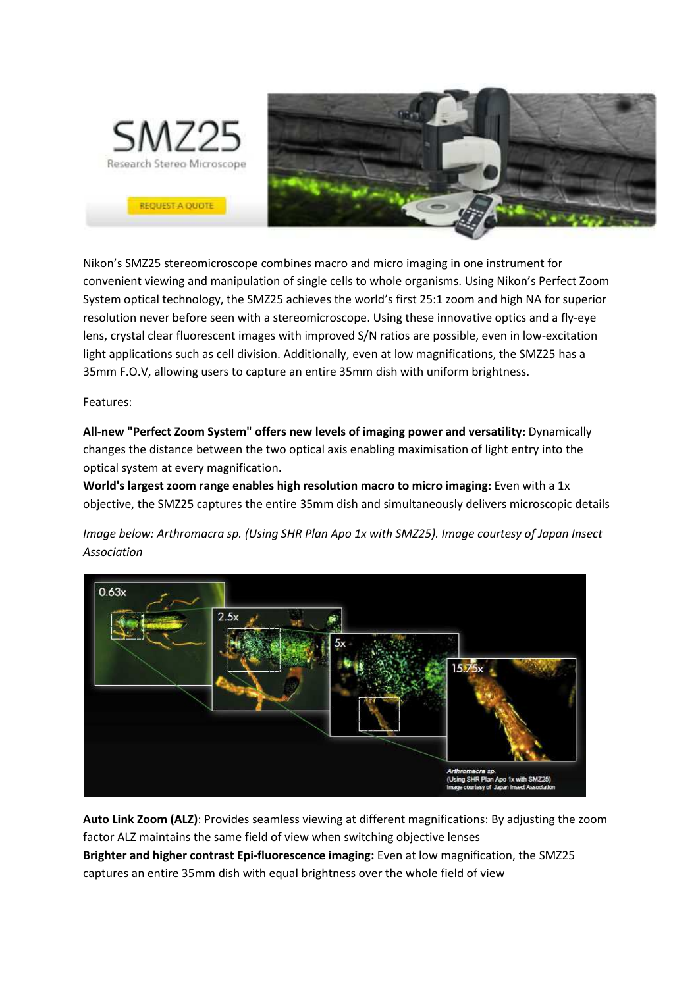

Nikon's SMZ25 stereomicroscope combines macro and micro imaging in one instrument for convenient viewing and manipulation of single cells to whole organisms. Using Nikon's Perfect Zoom System optical technology, the SMZ25 achieves the world's first 25:1 zoom and high NA for superior resolution never before seen with a stereomicroscope. Using these innovative optics and a fly-eye lens, crystal clear fluorescent images with improved S/N ratios are possible, even in low-excitation light applications such as cell division. Additionally, even at low magnifications, the SMZ25 has a 35mm F.O.V, allowing users to capture an entire 35mm dish with uniform brightness.

Features:

**All-new "Perfect Zoom System" offers new levels of imaging power and versatility:** Dynamically changes the distance between the two optical axis enabling maximisation of light entry into the optical system at every magnification.

**World's largest zoom range enables high resolution macro to micro imaging:** Even with a 1x objective, the SMZ25 captures the entire 35mm dish and simultaneously delivers microscopic details

*Image below: Arthromacra sp. (Using SHR Plan Apo 1x with SMZ25). Image courtesy of Japan Insect Association*



**Auto Link Zoom (ALZ)**: Provides seamless viewing at different magnifications: By adjusting the zoom factor ALZ maintains the same field of view when switching objective lenses **Brighter and higher contrast Epi-fluorescence imaging:** Even at low magnification, the SMZ25 captures an entire 35mm dish with equal brightness over the whole field of view